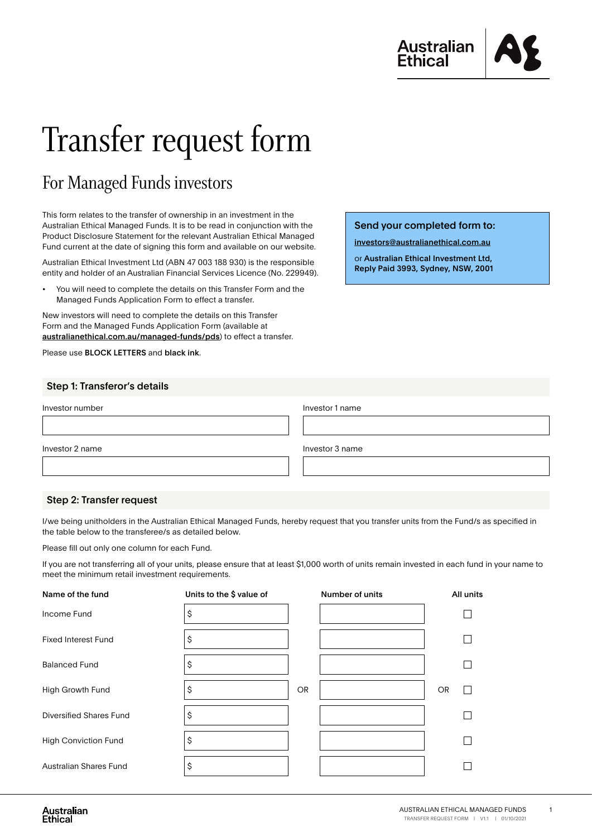

# Transfer request form

# For Managed Funds investors

This form relates to the transfer of ownership in an investment in the Australian Ethical Managed Funds. It is to be read in conjunction with the Product Disclosure Statement for the relevant Australian Ethical Managed Fund current at the date of signing this form and available on our website.

Australian Ethical Investment Ltd (ABN 47 003 188 930) is the responsible entity and holder of an Australian Financial Services Licence (No. 229949).

• You will need to complete the details on this Transfer Form and the Managed Funds Application Form to effect a transfer.

New investors will need to complete the details on this Transfer Form and the Managed Funds Application Form (available at [australianethical.com.au/managed-funds/pds](http://australianethical.com.au/managed-funds/pds-forms/)) to effect a transfer.

Please use BLOCK LETTERS and black ink.

### Send your completed form to:

[investors@australianethical.com.au](mailto:investors%40australianethical.com.au?subject=)

or Australian Ethical Investment Ltd, Reply Paid 3993, Sydney, NSW, 2001

| Step 1: Transferor's details |
|------------------------------|
|------------------------------|

| Investor number          | Investor 1 name |
|--------------------------|-----------------|
|                          |                 |
| Investor 2 name          | Investor 3 name |
|                          |                 |
|                          |                 |
| Step 2: Transfer request |                 |

#### I/we being unitholders in the Australian Ethical Managed Funds, hereby request that you transfer units from the Fund/s as specified in the table below to the transferee/s as detailed below.

Please fill out only one column for each Fund.

If you are not transferring all of your units, please ensure that at least \$1,000 worth of units remain invested in each fund in your name to meet the minimum retail investment requirements.

| Name of the fund               | Units to the \$ value of |           | Number of units | All units |
|--------------------------------|--------------------------|-----------|-----------------|-----------|
| Income Fund                    | \$                       |           |                 |           |
| <b>Fixed Interest Fund</b>     | \$                       |           |                 |           |
| <b>Balanced Fund</b>           | \$                       |           |                 |           |
| <b>High Growth Fund</b>        | Ş                        | <b>OR</b> |                 | <b>OR</b> |
| <b>Diversified Shares Fund</b> | S                        |           |                 |           |
| <b>High Conviction Fund</b>    | ົ                        |           |                 |           |
| <b>Australian Shares Fund</b>  | \$                       |           |                 |           |

1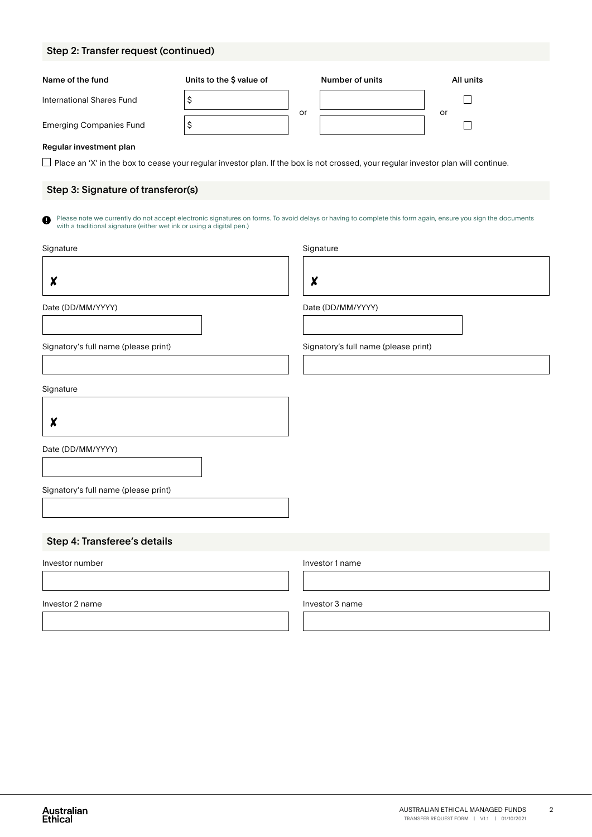# Step 2: Transfer request (continued)

| Name of the fund                                                                                                                         | Units to the \$ value of |    | Number of units                      | All units                                                                                                                                                   |
|------------------------------------------------------------------------------------------------------------------------------------------|--------------------------|----|--------------------------------------|-------------------------------------------------------------------------------------------------------------------------------------------------------------|
| International Shares Fund                                                                                                                | \$                       |    |                                      |                                                                                                                                                             |
| <b>Emerging Companies Fund</b>                                                                                                           | \$                       | or |                                      | or                                                                                                                                                          |
| Regular investment plan                                                                                                                  |                          |    |                                      |                                                                                                                                                             |
| $\Box$ Place an 'X' in the box to cease your regular investor plan. If the box is not crossed, your regular investor plan will continue. |                          |    |                                      |                                                                                                                                                             |
| Step 3: Signature of transferor(s)                                                                                                       |                          |    |                                      |                                                                                                                                                             |
| a<br>with a traditional signature (either wet ink or using a digital pen.)                                                               |                          |    |                                      | Please note we currently do not accept electronic signatures on forms. To avoid delays or having to complete this form again, ensure you sign the documents |
| Signature                                                                                                                                |                          |    | Signature                            |                                                                                                                                                             |
| X                                                                                                                                        |                          | X  |                                      |                                                                                                                                                             |
| Date (DD/MM/YYYY)                                                                                                                        |                          |    | Date (DD/MM/YYYY)                    |                                                                                                                                                             |
|                                                                                                                                          |                          |    |                                      |                                                                                                                                                             |
| Signatory's full name (please print)                                                                                                     |                          |    | Signatory's full name (please print) |                                                                                                                                                             |
|                                                                                                                                          |                          |    |                                      |                                                                                                                                                             |
| Signature                                                                                                                                |                          |    |                                      |                                                                                                                                                             |
| X                                                                                                                                        |                          |    |                                      |                                                                                                                                                             |
| Date (DD/MM/YYYY)                                                                                                                        |                          |    |                                      |                                                                                                                                                             |
|                                                                                                                                          |                          |    |                                      |                                                                                                                                                             |
| Signatory's full name (please print)                                                                                                     |                          |    |                                      |                                                                                                                                                             |
|                                                                                                                                          |                          |    |                                      |                                                                                                                                                             |
| Step 4: Transferee's details                                                                                                             |                          |    |                                      |                                                                                                                                                             |
| Investor number                                                                                                                          |                          |    | Investor 1 name                      |                                                                                                                                                             |
|                                                                                                                                          |                          |    |                                      |                                                                                                                                                             |
| Investor 2 name                                                                                                                          |                          |    | Investor 3 name                      |                                                                                                                                                             |